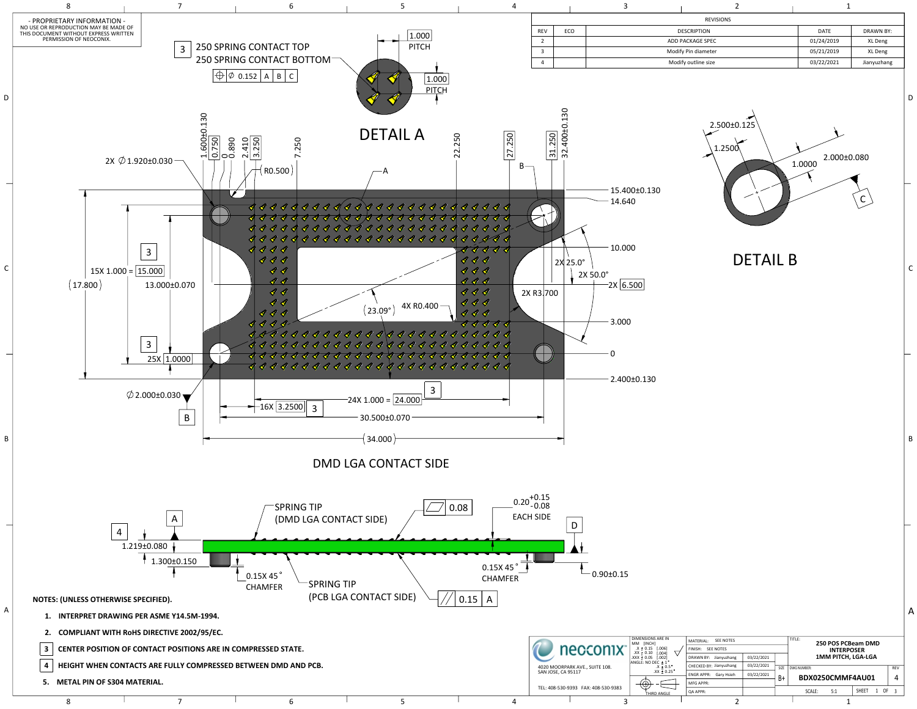

DETAIL B

| <b>REVISIONS</b> |     |                     |                          |             |  |  |  |  |
|------------------|-----|---------------------|--------------------------|-------------|--|--|--|--|
| <b>REV</b>       | ECO | <b>DESCRIPTION</b>  | <b>DATE</b><br>DRAWN BY: |             |  |  |  |  |
| 2                |     | ADD PACKAGE SPEC    | 01/24/2019               | XL Deng     |  |  |  |  |
| 3                |     | Modify Pin diameter | 05/21/2019<br>XL Deng    |             |  |  |  |  |
| 4                |     | Modify outline size | 03/22/2021               | Jianyuzhang |  |  |  |  |



| DIMENSIONS ARE IN<br>MM [INCH]                                                                         | <b>SEE NOTES</b><br>MATERIAL:  |            |      | TITLE:<br>250 POS PCBeam DMD |  |  |  |  |  |
|--------------------------------------------------------------------------------------------------------|--------------------------------|------------|------|------------------------------|--|--|--|--|--|
| .006]<br>$X \pm 0.15$<br>$.XX \pm 0.10$<br>0041                                                        | FINISH:<br><b>SEE NOTES</b>    |            |      | <b>INTERPOSER</b>            |  |  |  |  |  |
| [.002]<br>XXX ± 0.05                                                                                   | DRAWN BY: Jianyuzhang          | 03/22/2021 |      | <b>1MM PITCH, LGA-LGA</b>    |  |  |  |  |  |
| <code>\NGLE:</code> <code>NO DEC <math>\pm</math> 1 <math>^\circ</math></code><br>$.X \pm 0.5^{\circ}$ | CHECKED BY: Jianyuzhang        | 03/22/2021 | SIZE | <b>REV</b><br>DWG NUMBER:    |  |  |  |  |  |
| $.XX + 0.25$ °                                                                                         | Gary Hsieh<br><b>ENGRAPPR:</b> | 03/22/2021 | B+   | BDX0250CMMF4AU01<br>4        |  |  |  |  |  |
| $\sqrt{2}$                                                                                             | <b>MFG APPR:</b>               |            |      |                              |  |  |  |  |  |
| THIRD ANGLE                                                                                            | <b>QA APPR:</b>                |            |      | SHEET<br>0F<br>SCALE:<br>5:1 |  |  |  |  |  |
|                                                                                                        | $\overline{\phantom{0}}$       |            |      |                              |  |  |  |  |  |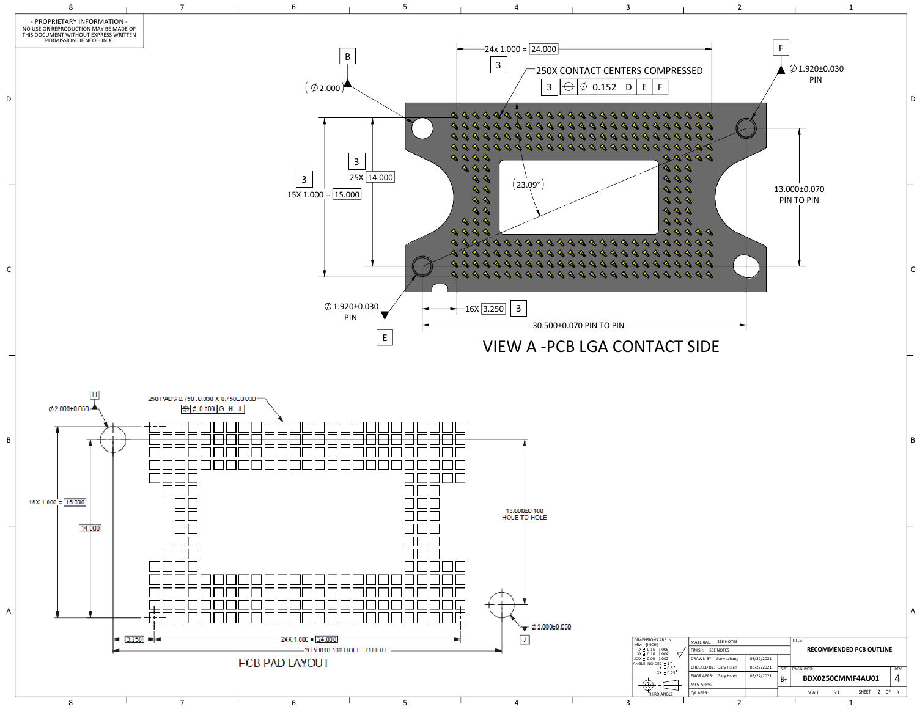

|  | 11171 L1175 L.<br>--------  |                                |      |             |     |                  |               |    |            |
|--|-----------------------------|--------------------------------|------|-------------|-----|------------------|---------------|----|------------|
|  | <b>SEE NOTES</b><br>FINISH: | <b>RECOMMENDED PCB OUTLINE</b> |      |             |     |                  |               |    |            |
|  | DRAWN BY: Jianyuzhang       | 03/22/2021                     |      |             |     |                  |               |    |            |
|  | CHECKED BY: Gary Hsieh      | 03/22/2021                     | SIZE | DWG NUMBER: |     |                  |               |    | <b>REV</b> |
|  | ENGR APPR: Gary Hsieh       | 03/22/2021                     | B+   |             |     | BDX0250CMMF4AU01 |               |    |            |
|  | <b>MFG APPR:</b>            |                                |      |             |     |                  |               |    |            |
|  | <b>QA APPR:</b>             |                                |      | SCALE:      | 5:1 | <b>SHEET</b>     | $\mathcal{L}$ | 0F |            |
|  |                             |                                |      |             |     |                  |               |    |            |